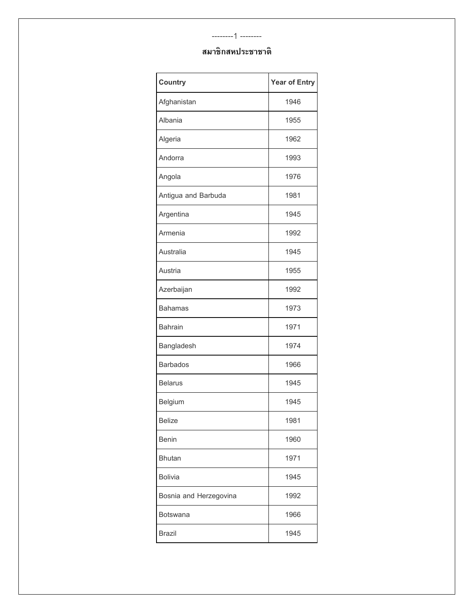#### --------1 --------

| <b>Country</b>         | <b>Year of Entry</b> |
|------------------------|----------------------|
| Afghanistan            | 1946                 |
| Albania                | 1955                 |
| Algeria                | 1962                 |
| Andorra                | 1993                 |
| Angola                 | 1976                 |
| Antigua and Barbuda    | 1981                 |
| Argentina              | 1945                 |
| Armenia                | 1992                 |
| Australia              | 1945                 |
| Austria                | 1955                 |
| Azerbaijan             | 1992                 |
| <b>Bahamas</b>         | 1973                 |
| <b>Bahrain</b>         | 1971                 |
| Bangladesh             | 1974                 |
| <b>Barbados</b>        | 1966                 |
| <b>Belarus</b>         | 1945                 |
| Belgium                | 1945                 |
| <b>Belize</b>          | 1981                 |
| <b>Benin</b>           | 1960                 |
| <b>Bhutan</b>          | 1971                 |
| <b>Bolivia</b>         | 1945                 |
| Bosnia and Herzegovina | 1992                 |
| <b>Botswana</b>        | 1966                 |
| <b>Brazil</b>          | 1945                 |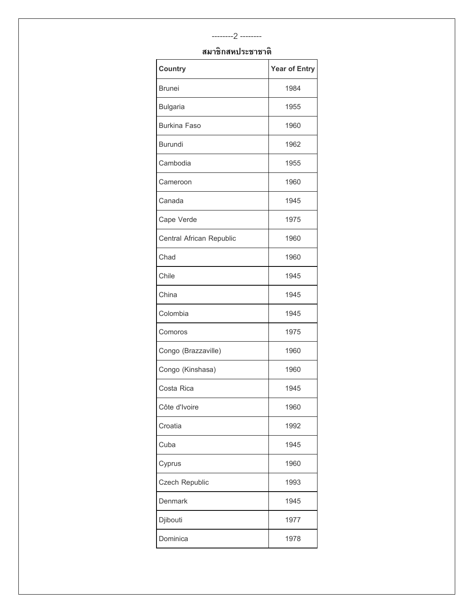## **สมาชิกสหประชาชาติ**

| Country                  | <b>Year of Entry</b> |
|--------------------------|----------------------|
| <b>Brunei</b>            | 1984                 |
| <b>Bulgaria</b>          | 1955                 |
| <b>Burkina Faso</b>      | 1960                 |
| <b>Burundi</b>           | 1962                 |
| Cambodia                 | 1955                 |
| Cameroon                 | 1960                 |
| Canada                   | 1945                 |
| Cape Verde               | 1975                 |
| Central African Republic | 1960                 |
| Chad                     | 1960                 |
| Chile                    | 1945                 |
| China                    | 1945                 |
| Colombia                 | 1945                 |
| Comoros                  | 1975                 |
| Congo (Brazzaville)      | 1960                 |
| Congo (Kinshasa)         | 1960                 |
| Costa Rica               | 1945                 |
| Côte d'Ivoire            | 1960                 |
| Croatia                  | 1992                 |
| Cuba                     | 1945                 |
| Cyprus                   | 1960                 |
| Czech Republic           | 1993                 |
| <b>Denmark</b>           | 1945                 |
| Djibouti                 | 1977                 |
| Dominica                 | 1978                 |

--------2 --------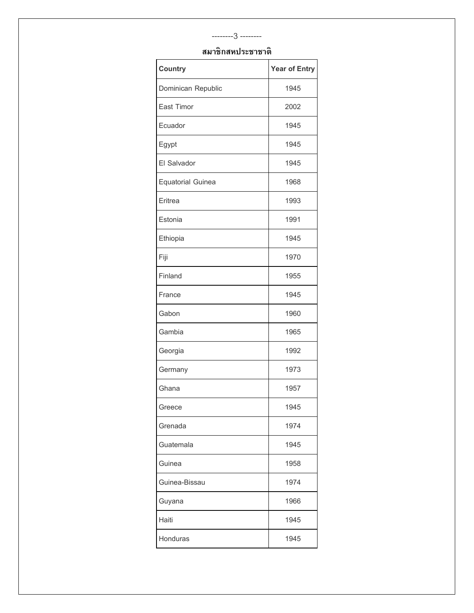# --------3 -------- **สมาชิกสหประชาชาติ**

| <b>Country</b>           | <b>Year of Entry</b> |
|--------------------------|----------------------|
| Dominican Republic       | 1945                 |
| East Timor               | 2002                 |
| Ecuador                  | 1945                 |
| Egypt                    | 1945                 |
| El Salvador              | 1945                 |
| <b>Equatorial Guinea</b> | 1968                 |
| Eritrea                  | 1993                 |
| Estonia                  | 1991                 |
| Ethiopia                 | 1945                 |
| Fiji                     | 1970                 |
| Finland                  | 1955                 |
| France                   | 1945                 |
| Gabon                    | 1960                 |
| Gambia                   | 1965                 |
| Georgia                  | 1992                 |
| Germany                  | 1973                 |
| Ghana                    | 1957                 |
| Greece                   | 1945                 |
| Grenada                  | 1974                 |
| Guatemala                | 1945                 |
| Guinea                   | 1958                 |
| Guinea-Bissau            | 1974                 |
| Guyana                   | 1966                 |
| Haiti                    | 1945                 |
| Honduras                 | 1945                 |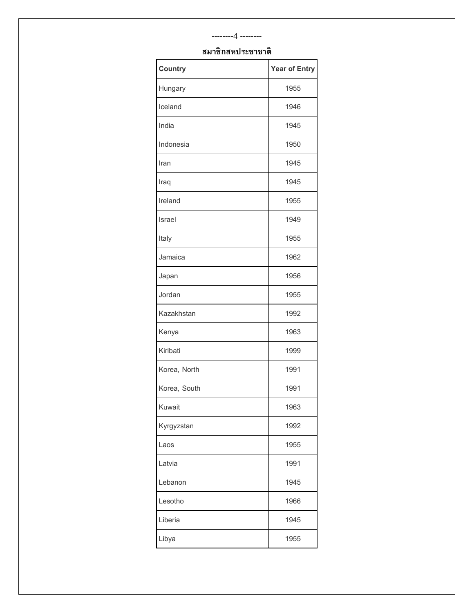#### --------4 --------

| <b>Country</b> | <b>Year of Entry</b> |
|----------------|----------------------|
| Hungary        | 1955                 |
| Iceland        | 1946                 |
| India          | 1945                 |
| Indonesia      | 1950                 |
| Iran           | 1945                 |
| Iraq           | 1945                 |
| Ireland        | 1955                 |
| Israel         | 1949                 |
| Italy          | 1955                 |
| Jamaica        | 1962                 |
| Japan          | 1956                 |
| Jordan         | 1955                 |
| Kazakhstan     | 1992                 |
| Kenya          | 1963                 |
| Kiribati       | 1999                 |
| Korea, North   | 1991                 |
| Korea, South   | 1991                 |
| Kuwait         | 1963                 |
| Kyrgyzstan     | 1992                 |
| Laos           | 1955                 |
| Latvia         | 1991                 |
| Lebanon        | 1945                 |
| Lesotho        | 1966                 |
| Liberia        | 1945                 |
| Libya          | 1955                 |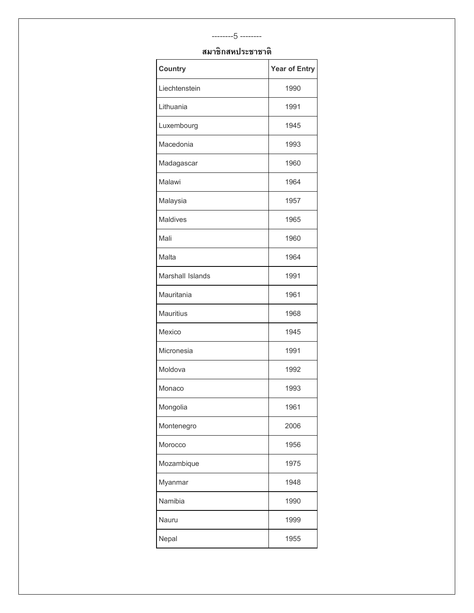# --------5 -------- **สมาชิกสหประชาชาติ**

| <b>Country</b>   | <b>Year of Entry</b> |
|------------------|----------------------|
| Liechtenstein    | 1990                 |
| Lithuania        | 1991                 |
| Luxembourg       | 1945                 |
| Macedonia        | 1993                 |
| Madagascar       | 1960                 |
| Malawi           | 1964                 |
| Malaysia         | 1957                 |
| <b>Maldives</b>  | 1965                 |
| Mali             | 1960                 |
| Malta            | 1964                 |
| Marshall Islands | 1991                 |
| Mauritania       | 1961                 |
| <b>Mauritius</b> | 1968                 |
| Mexico           | 1945                 |
| Micronesia       | 1991                 |
| Moldova          | 1992                 |
| Monaco           | 1993                 |
| Mongolia         | 1961                 |
| Montenegro       | 2006                 |
| Morocco          | 1956                 |
| Mozambique       | 1975                 |
| Myanmar          | 1948                 |
| Namibia          | 1990                 |
| Nauru            | 1999                 |
| Nepal            | 1955                 |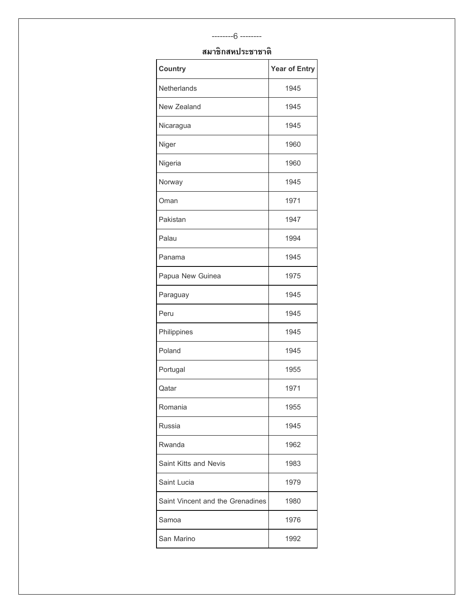### --------6 --------

| <b>Country</b>                   | <b>Year of Entry</b> |
|----------------------------------|----------------------|
| Netherlands                      | 1945                 |
| New Zealand                      | 1945                 |
| Nicaragua                        | 1945                 |
| Niger                            | 1960                 |
| Nigeria                          | 1960                 |
| Norway                           | 1945                 |
| Oman                             | 1971                 |
| Pakistan                         | 1947                 |
| Palau                            | 1994                 |
| Panama                           | 1945                 |
| Papua New Guinea                 | 1975                 |
| Paraguay                         | 1945                 |
| Peru                             | 1945                 |
| Philippines                      | 1945                 |
| Poland                           | 1945                 |
| Portugal                         | 1955                 |
| Qatar                            | 1971                 |
| Romania                          | 1955                 |
| Russia                           | 1945                 |
| Rwanda                           | 1962                 |
| Saint Kitts and Nevis            | 1983                 |
| Saint Lucia                      | 1979                 |
| Saint Vincent and the Grenadines | 1980                 |
| Samoa                            | 1976                 |
| San Marino                       | 1992                 |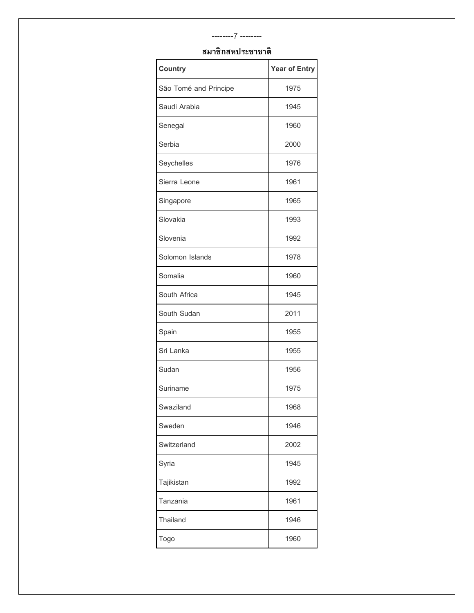## --------7 -------- **สมาชิกสหประชาชาติ**

| <b>Country</b>        | <b>Year of Entry</b> |
|-----------------------|----------------------|
| São Tomé and Principe | 1975                 |
| Saudi Arabia          | 1945                 |
| Senegal               | 1960                 |
| Serbia                | 2000                 |
| Seychelles            | 1976                 |
| Sierra Leone          | 1961                 |
| Singapore             | 1965                 |
| Slovakia              | 1993                 |
| Slovenia              | 1992                 |
| Solomon Islands       | 1978                 |
| Somalia               | 1960                 |
| South Africa          | 1945                 |
| South Sudan           | 2011                 |
| Spain                 | 1955                 |
| Sri Lanka             | 1955                 |
| Sudan                 | 1956                 |
| Suriname              | 1975                 |
| Swaziland             | 1968                 |
| Sweden                | 1946                 |
| Switzerland           | 2002                 |
| Syria                 | 1945                 |
| Tajikistan            | 1992                 |
| Tanzania              | 1961                 |
| Thailand              | 1946                 |
| Togo                  | 1960                 |